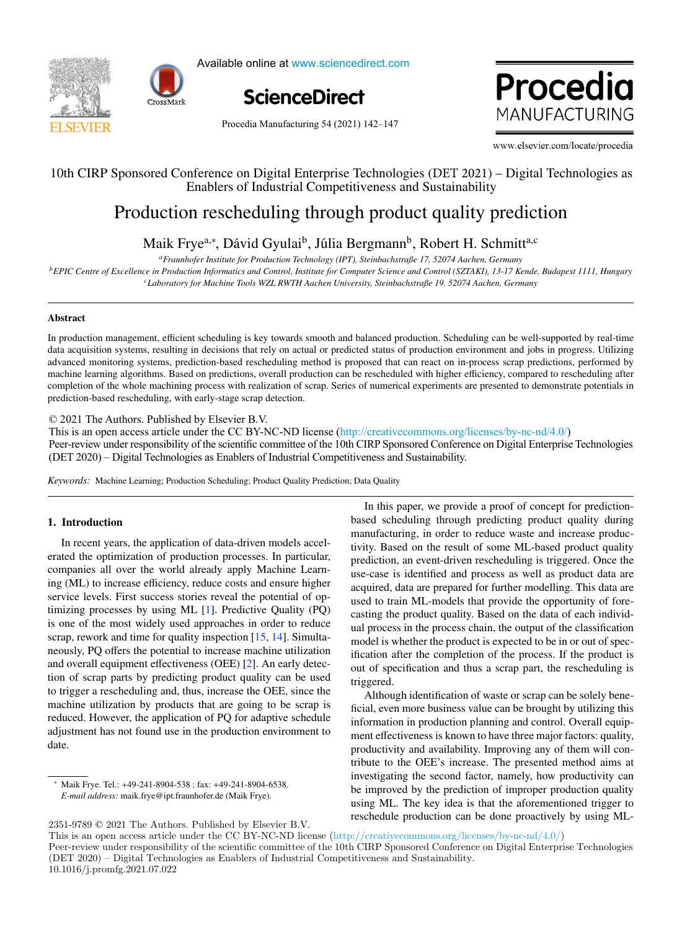



Available online at www.sciencedirect.com Available online at www.sciencedirect.com Available online at www.sciencedirect.com Available online at www.sciencedirect.com



Procedia 1ANUFACTURING www.elsevier.com/locate/procediate/procediate/ www.elsevier.com/locate/procediate/procediate/procediate/procediate/

Procedia Manufacturing 54 (2021) 142-147  $\frac{9}{20}$  Manufacturing  $\frac{9}{2}$  (2021) 142–147

10th CIRC Sponsored Conference on Digital Enterprise Technologies (DET 2021) – WWW.elsevier.com/locate/procedia www.elsevier.com/locate/procedia 10th CISO FREE CONFERENCE ON DIGITAL ENTERPRISE TECHNOLogy (DET 2021) – Digital Technology (DET 2021) – Digital Technology as a server of 2021 – Digital Technology (DET 2021) – Digital Technology (DET 2021) – Digital Techn

#### Enablers of Industrial Competitiveness and Sustainability Enablers of Industrial Competitiveness and Sustainability 10th CIRP Sponsored Conference on Digital Enterprise Technologies (DET 2021) – Digital Technologies as Enablers of Industrial Competitiveness and Sustainability Inference on Digital Enterprise Technologies (DET 2021) 10th CIRP Sponsored Conference on Digital Enterprise Technologies (DET 2021) – Digital Technologies as 10th CIRP Sponsored Conference on Digital Enterprise Technologies (DET 2021) – Digital Technologies as

# duction rescheduling through product quality predic Production rescheduling through product quality prediction Production rescheduling through product quality prediction Production rescheduling through product quality prediction

*aFraunhofer Institute for Production Technology (IPT), Steinbachstraße 17, 52074 Aachen, Germany* Malk  $\Gamma$ i ye $\gamma$ , David Gyulai $\gamma$ , Julia Berginalii $\gamma$ , Robert H. Schimu $\gamma$ *aFraunhofer Institute for Production Technology (IPT), Steinbachstraße 17, 52074 Aachen, Germany* Maik Frye<sup>a,\*</sup>, Dávid Gyulai<sup>b</sup>, Júlia Bergmann<sup>b</sup>, Robert H. Schmitt<sup>a,c</sup> Main Tyc , David Oyuar, Juna Deigmann, Nobelt II. Dennit , D`avid Gyulaib, John Bergmann<br>, D`avid Gyulaib, Robert H. Schwitta, Robert H. Schwitta, C. Schwitta, C. Schwitta,c *aFraunhofer Institute for Production Technology (IPT), Steinbachstraße 17, 52074 Aachen, Germany*  $M H E^{-3*} D' H G^{-1} h V H D$  h  $D_{1} H G T$  is  $\alpha$ Maik Frye<sup>a,\*</sup>, Dávid Gyulai<sup>b</sup>, Júlia Bergmann<sup>b</sup>, Robert H. Schmitt<sup>a,c</sup>

a Fraunhofer Institute for Production Technology (IPT), Steinbachstraße 17, 52074 Aachen, Germany

<sup>b</sup> EPIC Centre of Excellence in Production Informatics and Control, Institute for Computer Science and Control (SZTAKI), 13-17 Kende, Budapest 1111, Hungary *cLaboratory for Machine Tools WZL RWTH Aachen University, Steinbachstraße 19. 52074 Aachen, Germany*

#### Abstract In production management, effective smooth and balanced production. Scheduling can be well-supported by real-time  $\mathcal{L}$ Abstract  $\Delta$ bstraction management, efficient smooth and balanced production. Scheduling can be well-supported by real-time  $\Delta$ time well-supported by real-time well-supported by real-time well-supported by real-time well-supporte Abstract Abstract Abstract

In production management, efficient scheduling is key towards smooth and balanced production. Scheduling can be well-supported by real-time data acquisition systems, resulting in decisions that rely on actual or predicted status of production environment and jobs in progress. Utilizing advanced monitoring systems, prediction-based rescheduling method is proposed that can react on in-process scrap predictions, performed by advanced monitoring systems, prediction-based rescheduling method is proposed that machine learning algorithms. Based on predictions, overall production can be rescheduled with higher efficiency, compared to rescheduling after completion of the whole machining process with realization of scrap. Series of numerical experiments are presented to demonstrate potentials in In production management, efficient scheduling is key towards smooth and balanced production. Scheduling can be well-supported by real-time prediction-based rescheduling, with early-stage scrap detection. In production management, efficient scheduling is key towards smooth and balanced production. Scheduling can be well-supported by real-time<br>data acquisition systems, resulting in decisions that rely on actual or predicted data acquisition systems, resulting in decisions that rely on actual or predicted status of production environment and jobs in progress. Utilizing<br>advanced monitoring systems, prediction-based rescheduling method is propos

© 2021 The Authors. Published by Elsevier B.V. c 2021 The Authors. Published by Elsevier B.V. c 2021 The Authors. Published by Elsevier B.V. © 2021 The Authors. Published by Elsevier B.V.<br>C 2021 The Authors. Published by Elsevier B.V.

 $\approx$  2021 The Additions. The institute by Eisevier B.V.<br>This is an open access article under the CC BY-NC-ND license (http://creativecommons.org/licenses/by-nc-nd/4.0/)  $\degree$  2021 The Authors. Published by Eisevier B.V.<br>This is an open access article under the CC BY-NC-ND license (http://creativecommons.org/licenses/by-nc-nd/4.0/) This is an open access article under the CC BY-NC-ND license (http://creativecommons.org/licenses/by-

Peer-review under responsibility of the scientific committee of the 10th CIRP Sponsored Conference on Digital Enterprise Technologies (DET 2020) – Digital Technologies as Enablers of Industrial Competitiveness and Sustainability. (DET 2020) – Digital Technologies as Enablers of Industrial Competitiveness and Sustainability.

Keywords: Machine Learning; Production Scheduling; Product Quality Prediction; Data Quality *Keywords:* Machine Learning; Production Scheduling; Product Quality Prediction; Data Quality

# 1. Introduction 1. Introduction 1. Introduction

In recent years, the application of data-driven models accelerated the optimization of production processes. In particular, companies all over the world already apply Machine Learning (ML) to increase efficiency, reduce costs and ensure higher service levels. First success stories reveal the potential of optimizing processes by using ML [1]. Predictive Quality (PQ) is one of the most widely used approaches in order to reduce scrap, rework and time for quality inspection [15, 14]. Simulta- $\frac{1}{2}$  here is the potential to increase machine utilization and overall equipment effectiveness (OEE) [2]. An early detection of scrap parts by predicting product quality can be used to trigger a rescheduling and, thus, increase the OEE, since the machine utilization by products that are going to be scrap is reduced. However, the application of PQ for adaptive schedule  $\alpha$  adjustment has not found use in the production environment to  $\alpha$ date. date. date. reduced. However, the application of PQ for adaptive schedule<br>adjustment has not found use in the production environment to<br>data  $\alpha$  date.  $\alpha$ date. In recent year reduced. However, the application of PQ for adaptive schedule schedule schedule schedule schedule schedule schedule

In this paper, we provide a proof of concept for prediction-In this paper, we provide a proof of concept for prediction-In this paper, we provide a proof of concept for predictionbased scheduling through predicting product quality during manufacturing, in order to reduce waste and increase productivity. Based on the result of some ML-based product quality prediction, an event-driven rescheduling is triggered. Once the use-case is identified and process as well as product data are acquired, data are prepared for further modelling. This data are<br>used to train MI-models that provide the opportunity of foreused to train ML-models that provide the opportunity of forecasting the product quality. Based on the data of each individual process in the process chain, the output of the classification model is whether the product is expected to be in or out of specification after the completion of the process. If the product is out of specification and thus a scrap part, the rescheduling is triggered.

triggered.<br>Although identification of waste or scrap can be solely beneficial, even more business value can be brought by utilizing this information in production planning and control. Overall equipment effectiveness is known to have three major factors: quality, productivity and availability. Improving any of them will con-Tribute to the OEE's increase. The presented method aims at<br>investigating the second factor namely how productivity can investigating the second factor, namely, how productivity can be improved by the prediction of improper production quality using ML. The key idea is that the aforementioned trigger to<br>reschedule production can be done proactively by using MLreschedule production can be done proactively by using ML-

<sup>∗</sup> Maik Frye. Tel.: +49-241-8904-538 ; fax: +49-241-8904-6538. ∗ Maik Frye. Tel.: +49-241-8904-538 ; fax: +49-241-8904-6538. *E-mail address:* maik.frye@ipt.fraunhofer.de (Maik Frye). *E-mail dadress:* maik.ifye@ipt.fraunhofer.de (Maik Frye).  $\overline{\phantom{0}}$ 

 $2351-9789 \odot 2021$  The Authors. Published by Elsevier B.V.<br>This is an annual second orticle and the GC BV NG ND line

<sup>2351-9789 © 2021</sup> The Authors. Published by Elsevier B.V.<br>This is an open access article under the CC BY-NC-ND license (http://creativecommons.org/licenses/by-nc-nd/4.0/) Peer-review under responsibility of the scientific committee of the 10th CIRP Sponsored Conference on Digital Enterprise Technologies Peer-review under responsibility of the scientific committee of the 10th CIRP Sponsored Conference on Digital Enterprise 1 econologies<br>(DET 2020) – Digital Technologies as Enablers of Industrial Competitiveness and Sustain 10.1016/j.promfg.2021.07.022 This is an open access article under the CC BY-NC-ND license (http://creativecommons.org/licenses/by-nc-nd/4.0/)<br>Peer-review under responsibility of the scientific committee of the 10th CIRP Sponsored Conference on Digital 2351-9789 © 2021 The Authors. Published by Elsevier B.V.<br>This is an open access article under the CC BY-NC-ND license (http://creativecommons.org/licenses/by-nc-nd/4.0/)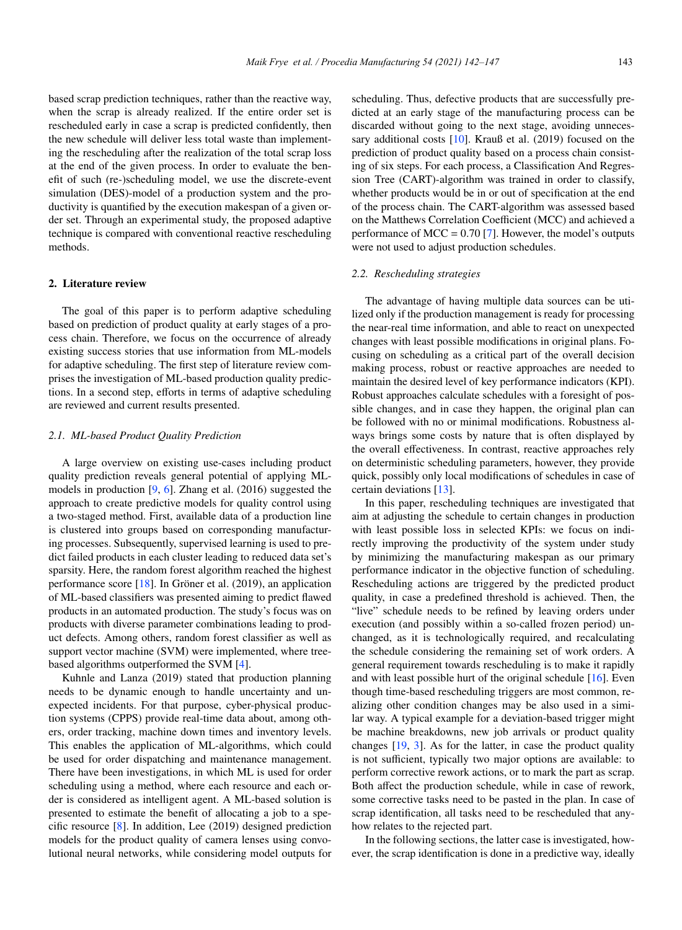based scrap prediction techniques, rather than the reactive way, when the scrap is already realized. If the entire order set is rescheduled early in case a scrap is predicted confidently, then the new schedule will deliver less total waste than implementing the rescheduling after the realization of the total scrap loss at the end of the given process. In order to evaluate the benefit of such (re-)scheduling model, we use the discrete-event simulation (DES)-model of a production system and the productivity is quantified by the execution makespan of a given order set. Through an experimental study, the proposed adaptive technique is compared with conventional reactive rescheduling methods.

# 2. Literature review

The goal of this paper is to perform adaptive scheduling based on prediction of product quality at early stages of a process chain. Therefore, we focus on the occurrence of already existing success stories that use information from ML-models for adaptive scheduling. The first step of literature review comprises the investigation of ML-based production quality predictions. In a second step, efforts in terms of adaptive scheduling are reviewed and current results presented.

### *2.1. ML-based Product Quality Prediction*

A large overview on existing use-cases including product quality prediction reveals general potential of applying MLmodels in production [9, 6]. Zhang et al. (2016) suggested the approach to create predictive models for quality control using a two-staged method. First, available data of a production line is clustered into groups based on corresponding manufacturing processes. Subsequently, supervised learning is used to predict failed products in each cluster leading to reduced data set's sparsity. Here, the random forest algorithm reached the highest performance score  $[18]$ . In Gröner et al. (2019), an application of ML-based classifiers was presented aiming to predict flawed products in an automated production. The study's focus was on products with diverse parameter combinations leading to product defects. Among others, random forest classifier as well as support vector machine (SVM) were implemented, where treebased algorithms outperformed the SVM [4].

Kuhnle and Lanza (2019) stated that production planning needs to be dynamic enough to handle uncertainty and unexpected incidents. For that purpose, cyber-physical production systems (CPPS) provide real-time data about, among others, order tracking, machine down times and inventory levels. This enables the application of ML-algorithms, which could be used for order dispatching and maintenance management. There have been investigations, in which ML is used for order scheduling using a method, where each resource and each order is considered as intelligent agent. A ML-based solution is presented to estimate the benefit of allocating a job to a specific resource [8]. In addition, Lee (2019) designed prediction models for the product quality of camera lenses using convolutional neural networks, while considering model outputs for

scheduling. Thus, defective products that are successfully predicted at an early stage of the manufacturing process can be discarded without going to the next stage, avoiding unnecessary additional costs [10]. Krauß et al. (2019) focused on the prediction of product quality based on a process chain consisting of six steps. For each process, a Classification And Regression Tree (CART)-algorithm was trained in order to classify, whether products would be in or out of specification at the end of the process chain. The CART-algorithm was assessed based on the Matthews Correlation Coefficient (MCC) and achieved a performance of  $MCC = 0.70$  [7]. However, the model's outputs were not used to adjust production schedules.

#### *2.2. Rescheduling strategies*

The advantage of having multiple data sources can be utilized only if the production management is ready for processing the near-real time information, and able to react on unexpected changes with least possible modifications in original plans. Focusing on scheduling as a critical part of the overall decision making process, robust or reactive approaches are needed to maintain the desired level of key performance indicators (KPI). Robust approaches calculate schedules with a foresight of possible changes, and in case they happen, the original plan can be followed with no or minimal modifications. Robustness always brings some costs by nature that is often displayed by the overall effectiveness. In contrast, reactive approaches rely on deterministic scheduling parameters, however, they provide quick, possibly only local modifications of schedules in case of certain deviations [13].

In this paper, rescheduling techniques are investigated that aim at adjusting the schedule to certain changes in production with least possible loss in selected KPIs: we focus on indirectly improving the productivity of the system under study by minimizing the manufacturing makespan as our primary performance indicator in the objective function of scheduling. Rescheduling actions are triggered by the predicted product quality, in case a predefined threshold is achieved. Then, the "live" schedule needs to be refined by leaving orders under execution (and possibly within a so-called frozen period) unchanged, as it is technologically required, and recalculating the schedule considering the remaining set of work orders. A general requirement towards rescheduling is to make it rapidly and with least possible hurt of the original schedule  $[16]$ . Even though time-based rescheduling triggers are most common, realizing other condition changes may be also used in a similar way. A typical example for a deviation-based trigger might be machine breakdowns, new job arrivals or product quality changes  $[19, 3]$ . As for the latter, in case the product quality is not sufficient, typically two major options are available: to perform corrective rework actions, or to mark the part as scrap. Both affect the production schedule, while in case of rework, some corrective tasks need to be pasted in the plan. In case of scrap identification, all tasks need to be rescheduled that anyhow relates to the rejected part.

In the following sections, the latter case is investigated, however, the scrap identification is done in a predictive way, ideally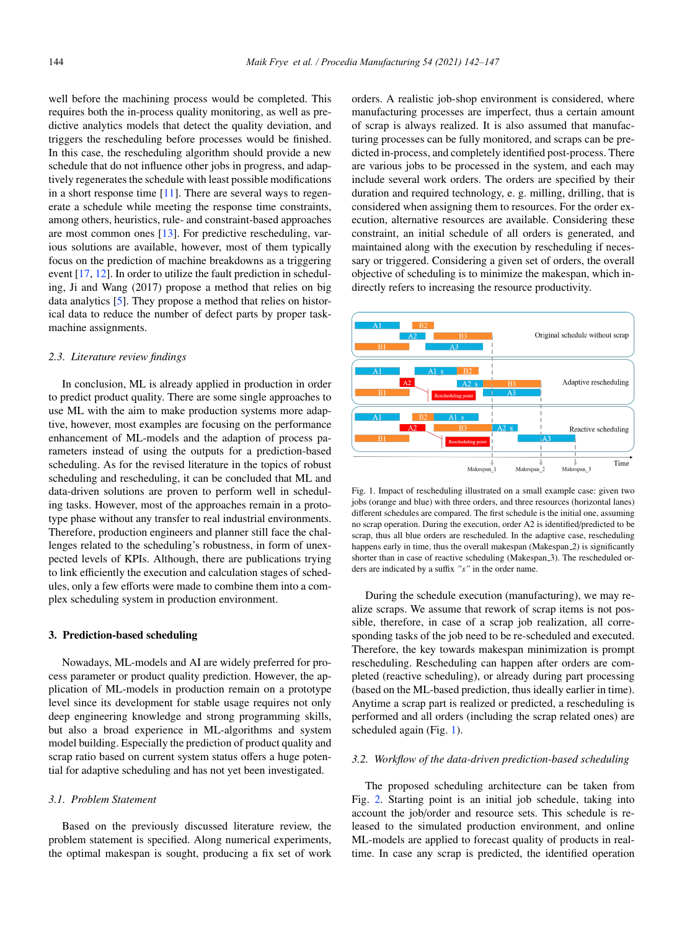well before the machining process would be completed. This requires both the in-process quality monitoring, as well as predictive analytics models that detect the quality deviation, and triggers the rescheduling before processes would be finished. In this case, the rescheduling algorithm should provide a new schedule that do not influence other jobs in progress, and adaptively regenerates the schedule with least possible modifications in a short response time  $[11]$ . There are several ways to regenerate a schedule while meeting the response time constraints, among others, heuristics, rule- and constraint-based approaches are most common ones [13]. For predictive rescheduling, various solutions are available, however, most of them typically focus on the prediction of machine breakdowns as a triggering event [17, 12]. In order to utilize the fault prediction in scheduling, Ji and Wang (2017) propose a method that relies on big data analytics [5]. They propose a method that relies on historical data to reduce the number of defect parts by proper taskmachine assignments.

#### *2.3. Literature review findings*

In conclusion, ML is already applied in production in order to predict product quality. There are some single approaches to use ML with the aim to make production systems more adaptive, however, most examples are focusing on the performance enhancement of ML-models and the adaption of process parameters instead of using the outputs for a prediction-based scheduling. As for the revised literature in the topics of robust scheduling and rescheduling, it can be concluded that ML and data-driven solutions are proven to perform well in scheduling tasks. However, most of the approaches remain in a prototype phase without any transfer to real industrial environments. Therefore, production engineers and planner still face the challenges related to the scheduling's robustness, in form of unexpected levels of KPIs. Although, there are publications trying to link efficiently the execution and calculation stages of schedules, only a few efforts were made to combine them into a complex scheduling system in production environment.

### 3. Prediction-based scheduling

Nowadays, ML-models and AI are widely preferred for process parameter or product quality prediction. However, the application of ML-models in production remain on a prototype level since its development for stable usage requires not only deep engineering knowledge and strong programming skills, but also a broad experience in ML-algorithms and system model building. Especially the prediction of product quality and scrap ratio based on current system status offers a huge potential for adaptive scheduling and has not yet been investigated.

#### *3.1. Problem Statement*

Based on the previously discussed literature review, the problem statement is specified. Along numerical experiments, the optimal makespan is sought, producing a fix set of work

orders. A realistic job-shop environment is considered, where manufacturing processes are imperfect, thus a certain amount of scrap is always realized. It is also assumed that manufacturing processes can be fully monitored, and scraps can be predicted in-process, and completely identified post-process. There are various jobs to be processed in the system, and each may include several work orders. The orders are specified by their duration and required technology, e. g. milling, drilling, that is considered when assigning them to resources. For the order execution, alternative resources are available. Considering these constraint, an initial schedule of all orders is generated, and maintained along with the execution by rescheduling if necessary or triggered. Considering a given set of orders, the overall objective of scheduling is to minimize the makespan, which indirectly refers to increasing the resource productivity.



Fig. 1. Impact of rescheduling illustrated on a small example case: given two jobs (orange and blue) with three orders, and three resources (horizontal lanes) different schedules are compared. The first schedule is the initial one, assuming no scrap operation. During the execution, order A2 is identified/predicted to be scrap, thus all blue orders are rescheduled. In the adaptive case, rescheduling happens early in time, thus the overall makespan (Makespan 2) is significantly shorter than in case of reactive scheduling (Makespan<sub>-3</sub>). The rescheduled orders are indicated by a suffix *"s"* in the order name.

During the schedule execution (manufacturing), we may realize scraps. We assume that rework of scrap items is not possible, therefore, in case of a scrap job realization, all corresponding tasks of the job need to be re-scheduled and executed. Therefore, the key towards makespan minimization is prompt rescheduling. Rescheduling can happen after orders are completed (reactive scheduling), or already during part processing (based on the ML-based prediction, thus ideally earlier in time). Anytime a scrap part is realized or predicted, a rescheduling is performed and all orders (including the scrap related ones) are scheduled again (Fig. 1).

# *3.2. Workflow of the data-driven prediction-based scheduling*

The proposed scheduling architecture can be taken from Fig. 2. Starting point is an initial job schedule, taking into account the job/order and resource sets. This schedule is released to the simulated production environment, and online ML-models are applied to forecast quality of products in realtime. In case any scrap is predicted, the identified operation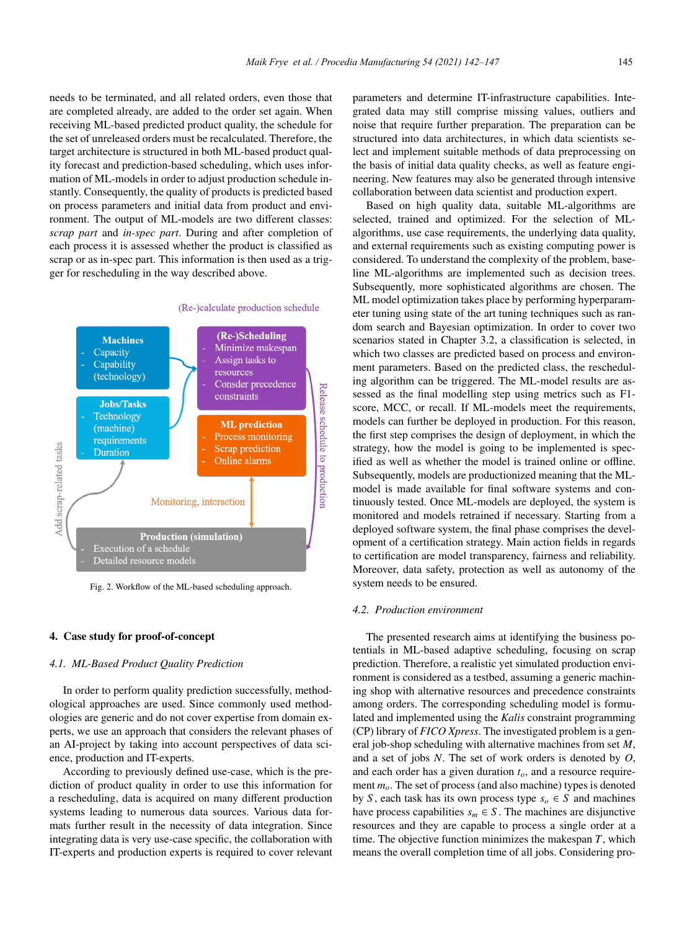needs to be terminated, and all related orders, even those that are completed already, are added to the order set again. When receiving ML-based predicted product quality, the schedule for the set of unreleased orders must be recalculated. Therefore, the target architecture is structured in both ML-based product quality forecast and prediction-based scheduling, which uses information of ML-models in order to adjust production schedule instantly. Consequently, the quality of products is predicted based on process parameters and initial data from product and environment. The output of ML-models are two different classes: *scrap part* and *in-spec part*. During and after completion of each process it is assessed whether the product is classified as scrap or as in-spec part. This information is then used as a trigger for rescheduling in the way described above.



Fig. 2. Workflow of the ML-based scheduling approach.

### 4. Case study for proof-of-concept

### *4.1. ML-Based Product Quality Prediction*

In order to perform quality prediction successfully, methodological approaches are used. Since commonly used methodologies are generic and do not cover expertise from domain experts, we use an approach that considers the relevant phases of an AI-project by taking into account perspectives of data science, production and IT-experts.

According to previously defined use-case, which is the prediction of product quality in order to use this information for a rescheduling, data is acquired on many different production systems leading to numerous data sources. Various data formats further result in the necessity of data integration. Since integrating data is very use-case specific, the collaboration with IT-experts and production experts is required to cover relevant

parameters and determine IT-infrastructure capabilities. Integrated data may still comprise missing values, outliers and noise that require further preparation. The preparation can be structured into data architectures, in which data scientists select and implement suitable methods of data preprocessing on the basis of initial data quality checks, as well as feature engineering. New features may also be generated through intensive collaboration between data scientist and production expert.

Based on high quality data, suitable ML-algorithms are selected, trained and optimized. For the selection of MLalgorithms, use case requirements, the underlying data quality, and external requirements such as existing computing power is considered. To understand the complexity of the problem, baseline ML-algorithms are implemented such as decision trees. Subsequently, more sophisticated algorithms are chosen. The ML model optimization takes place by performing hyperparameter tuning using state of the art tuning techniques such as random search and Bayesian optimization. In order to cover two scenarios stated in Chapter 3.2, a classification is selected, in which two classes are predicted based on process and environment parameters. Based on the predicted class, the rescheduling algorithm can be triggered. The ML-model results are assessed as the final modelling step using metrics such as F1 score, MCC, or recall. If ML-models meet the requirements, models can further be deployed in production. For this reason, the first step comprises the design of deployment, in which the strategy, how the model is going to be implemented is specified as well as whether the model is trained online or offline. Subsequently, models are productionized meaning that the MLmodel is made available for final software systems and continuously tested. Once ML-models are deployed, the system is monitored and models retrained if necessary. Starting from a deployed software system, the final phase comprises the development of a certification strategy. Main action fields in regards to certification are model transparency, fairness and reliability. Moreover, data safety, protection as well as autonomy of the system needs to be ensured.

# *4.2. Production environment*

The presented research aims at identifying the business potentials in ML-based adaptive scheduling, focusing on scrap prediction. Therefore, a realistic yet simulated production environment is considered as a testbed, assuming a generic machining shop with alternative resources and precedence constraints among orders. The corresponding scheduling model is formulated and implemented using the *Kalis* constraint programming (CP) library of *FICO Xpress*. The investigated problem is a general job-shop scheduling with alternative machines from set *M*, and a set of jobs *N*. The set of work orders is denoted by *O*, and each order has a given duration  $t<sub>o</sub>$ , and a resource requirement *mo*. The set of process (and also machine) types is denoted by *S*, each task has its own process type  $s_o \in S$  and machines have process capabilities  $s_m \in S$ . The machines are disjunctive resources and they are capable to process a single order at a time. The objective function minimizes the makespan *T*, which means the overall completion time of all jobs. Considering pro-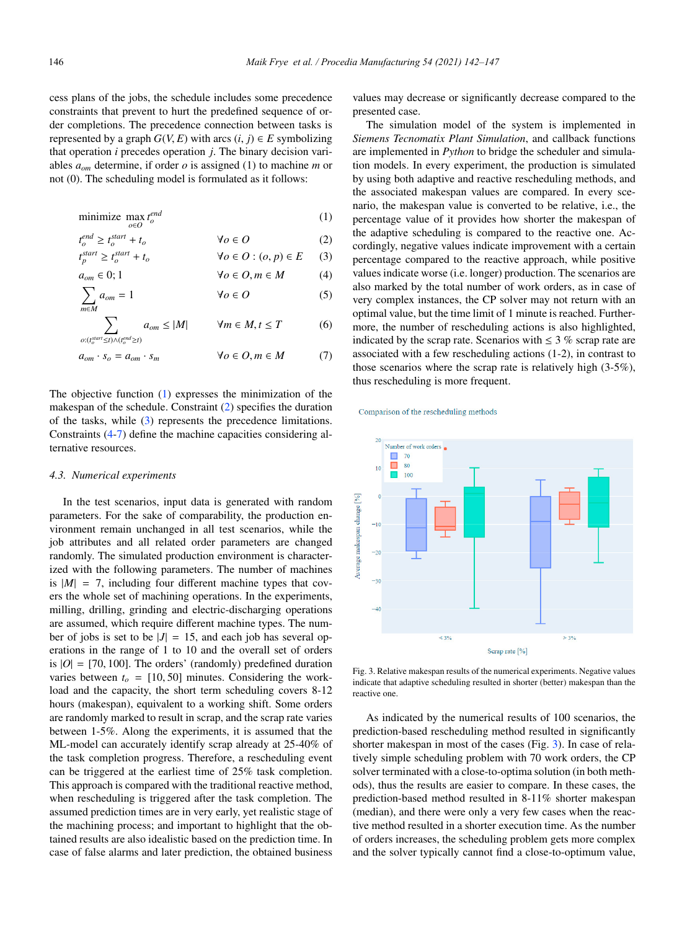cess plans of the jobs, the schedule includes some precedence constraints that prevent to hurt the predefined sequence of order completions. The precedence connection between tasks is represented by a graph  $G(V, E)$  with arcs  $(i, j) \in E$  symbolizing that operation *i* precedes operation *j*. The binary decision variables *aom* determine, if order *o* is assigned (1) to machine *m* or not (0). The scheduling model is formulated as it follows:

$$
\underset{o \in O}{\text{minimize}} \max_{o \in O} t_o^{end} \tag{1}
$$

$$
t_o^{end} \ge t_o^{start} + t_o \qquad \qquad \forall o \in O \tag{2}
$$

$$
t_p^{\text{start}} \ge t_o^{\text{start}} + t_o \qquad \forall o \in O : (o, p) \in E \qquad (3)
$$
\n
$$
a \in 0: 1 \qquad \forall o \in O \text{ } m \in M \qquad (4)
$$

$$
\sum a_i = 1 \qquad \forall a \in \Omega \qquad (5)
$$

$$
\sum_{m \in M} a_{om} = 1 \qquad \forall o \in O \qquad (5)
$$
  

$$
\sum_{o:(t_o^{start} \le t) \land (t_o^{end} \ge t)} a_{om} \le |M| \qquad \forall m \in M, t \le T \qquad (6)
$$

$$
a_{om} \cdot s_o = a_{om} \cdot s_m \qquad \qquad \forall o \in O, m \in M \tag{7}
$$

The objective function (1) expresses the minimization of the makespan of the schedule. Constraint (2) specifies the duration of the tasks, while (3) represents the precedence limitations. Constraints (4-7) define the machine capacities considering alternative resources.

#### *4.3. Numerical experiments*

In the test scenarios, input data is generated with random parameters. For the sake of comparability, the production environment remain unchanged in all test scenarios, while the job attributes and all related order parameters are changed randomly. The simulated production environment is characterized with the following parameters. The number of machines is  $|M| = 7$ , including four different machine types that covers the whole set of machining operations. In the experiments, milling, drilling, grinding and electric-discharging operations are assumed, which require different machine types. The number of jobs is set to be  $|J| = 15$ , and each job has several operations in the range of 1 to 10 and the overall set of orders is  $|O| = [70, 100]$ . The orders' (randomly) predefined duration varies between  $t<sub>o</sub> = [10, 50]$  minutes. Considering the workload and the capacity, the short term scheduling covers 8-12 hours (makespan), equivalent to a working shift. Some orders are randomly marked to result in scrap, and the scrap rate varies between 1-5%. Along the experiments, it is assumed that the ML-model can accurately identify scrap already at 25-40% of the task completion progress. Therefore, a rescheduling event can be triggered at the earliest time of 25% task completion. This approach is compared with the traditional reactive method, when rescheduling is triggered after the task completion. The assumed prediction times are in very early, yet realistic stage of the machining process; and important to highlight that the obtained results are also idealistic based on the prediction time. In case of false alarms and later prediction, the obtained business

values may decrease or significantly decrease compared to the presented case.

The simulation model of the system is implemented in *Siemens Tecnomatix Plant Simulation*, and callback functions are implemented in *Python* to bridge the scheduler and simulation models. In every experiment, the production is simulated by using both adaptive and reactive rescheduling methods, and the associated makespan values are compared. In every scenario, the makespan value is converted to be relative, i.e., the percentage value of it provides how shorter the makespan of the adaptive scheduling is compared to the reactive one. Accordingly, negative values indicate improvement with a certain percentage compared to the reactive approach, while positive values indicate worse (i.e. longer) production. The scenarios are also marked by the total number of work orders, as in case of very complex instances, the CP solver may not return with an optimal value, but the time limit of 1 minute is reached. Furthermore, the number of rescheduling actions is also highlighted, indicated by the scrap rate. Scenarios with  $\leq$  3 % scrap rate are associated with a few rescheduling actions (1-2), in contrast to those scenarios where the scrap rate is relatively high (3-5%), thus rescheduling is more frequent.

Comparison of the rescheduling methods



Fig. 3. Relative makespan results of the numerical experiments. Negative values indicate that adaptive scheduling resulted in shorter (better) makespan than the reactive one.

As indicated by the numerical results of 100 scenarios, the prediction-based rescheduling method resulted in significantly shorter makespan in most of the cases (Fig. 3). In case of relatively simple scheduling problem with 70 work orders, the CP solver terminated with a close-to-optima solution (in both methods), thus the results are easier to compare. In these cases, the prediction-based method resulted in 8-11% shorter makespan (median), and there were only a very few cases when the reactive method resulted in a shorter execution time. As the number of orders increases, the scheduling problem gets more complex and the solver typically cannot find a close-to-optimum value,